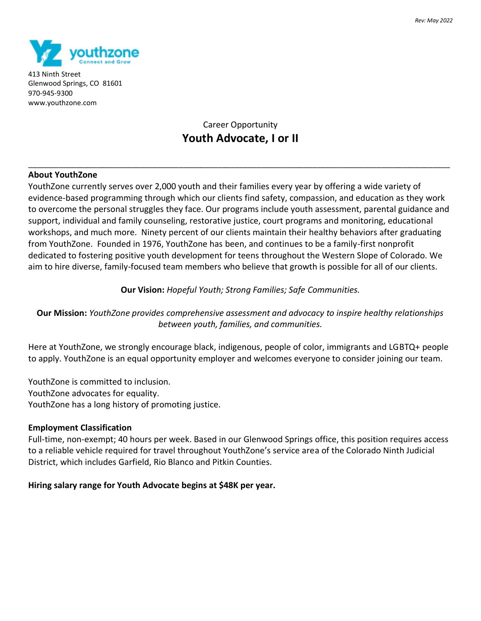

413 Ninth Street Glenwood Springs, CO 81601 970-945-9300 www.youthzone.com

# Career Opportunity **Youth Advocate, I or II**

\_\_\_\_\_\_\_\_\_\_\_\_\_\_\_\_\_\_\_\_\_\_\_\_\_\_\_\_\_\_\_\_\_\_\_\_\_\_\_\_\_\_\_\_\_\_\_\_\_\_\_\_\_\_\_\_\_\_\_\_\_\_\_\_\_\_\_\_\_\_\_\_\_\_\_\_\_\_\_\_\_\_\_\_\_\_\_\_\_\_\_\_\_\_\_\_\_\_

# **About YouthZone**

YouthZone currently serves over 2,000 youth and their families every year by offering a wide variety of evidence-based programming through which our clients find safety, compassion, and education as they work to overcome the personal struggles they face. Our programs include youth assessment, parental guidance and support, individual and family counseling, restorative justice, court programs and monitoring, educational workshops, and much more. Ninety percent of our clients maintain their healthy behaviors after graduating from YouthZone. Founded in 1976, YouthZone has been, and continues to be a family-first nonprofit dedicated to fostering positive youth development for teens throughout the Western Slope of Colorado. We aim to hire diverse, family-focused team members who believe that growth is possible for all of our clients.

# **Our Vision:** *Hopeful Youth; Strong Families; Safe Communities.*

**Our Mission:** *YouthZone provides comprehensive assessment and advocacy to inspire healthy relationships between youth, families, and communities.*

Here at YouthZone, we strongly encourage black, indigenous, people of color, immigrants and LGBTQ+ people to apply. YouthZone is an equal opportunity employer and welcomes everyone to consider joining our team.

YouthZone is committed to inclusion. YouthZone advocates for equality. YouthZone has a long history of promoting justice.

### **Employment Classification**

Full-time, non-exempt; 40 hours per week. Based in our Glenwood Springs office, this position requires access to a reliable vehicle required for travel throughout YouthZone's service area of the Colorado Ninth Judicial District, which includes Garfield, Rio Blanco and Pitkin Counties.

### **Hiring salary range for Youth Advocate begins at \$48K per year.**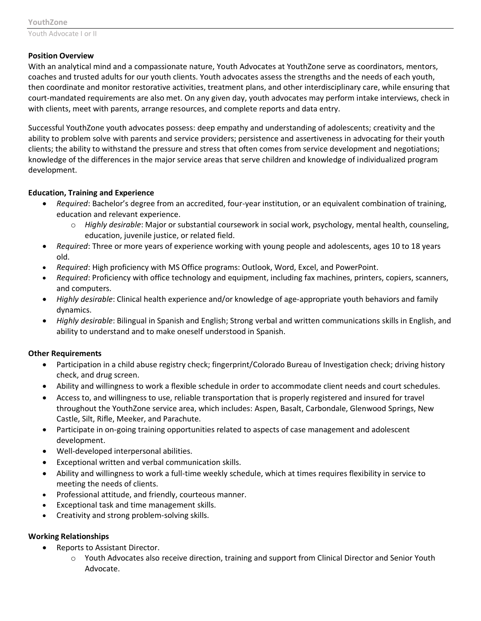# **Position Overview**

With an analytical mind and a compassionate nature, Youth Advocates at YouthZone serve as coordinators, mentors, coaches and trusted adults for our youth clients. Youth advocates assess the strengths and the needs of each youth, then coordinate and monitor restorative activities, treatment plans, and other interdisciplinary care, while ensuring that court-mandated requirements are also met. On any given day, youth advocates may perform intake interviews, check in with clients, meet with parents, arrange resources, and complete reports and data entry.

Successful YouthZone youth advocates possess: deep empathy and understanding of adolescents; creativity and the ability to problem solve with parents and service providers; persistence and assertiveness in advocating for their youth clients; the ability to withstand the pressure and stress that often comes from service development and negotiations; knowledge of the differences in the major service areas that serve children and knowledge of individualized program development.

# **Education, Training and Experience**

- *Required*: Bachelor's degree from an accredited, four-year institution, or an equivalent combination of training, education and relevant experience.
	- o *Highly desirable*: Major or substantial coursework in social work, psychology, mental health, counseling, education, juvenile justice, or related field.
- *Required*: Three or more years of experience working with young people and adolescents, ages 10 to 18 years old.
- *Required*: High proficiency with MS Office programs: Outlook, Word, Excel, and PowerPoint.
- *Required*: Proficiency with office technology and equipment, including fax machines, printers, copiers, scanners, and computers.
- *Highly desirable*: Clinical health experience and/or knowledge of age-appropriate youth behaviors and family dynamics.
- *Highly desirable*: Bilingual in Spanish and English; Strong verbal and written communications skills in English, and ability to understand and to make oneself understood in Spanish.

### **Other Requirements**

- Participation in a child abuse registry check; fingerprint/Colorado Bureau of Investigation check; driving history check, and drug screen.
- Ability and willingness to work a flexible schedule in order to accommodate client needs and court schedules.
- Access to, and willingness to use, reliable transportation that is properly registered and insured for travel throughout the YouthZone service area, which includes: Aspen, Basalt, Carbondale, Glenwood Springs, New Castle, Silt, Rifle, Meeker, and Parachute.
- Participate in on-going training opportunities related to aspects of case management and adolescent development.
- Well-developed interpersonal abilities.
- Exceptional written and verbal communication skills.
- Ability and willingness to work a full-time weekly schedule, which at times requires flexibility in service to meeting the needs of clients.
- Professional attitude, and friendly, courteous manner.
- Exceptional task and time management skills.
- Creativity and strong problem-solving skills.

### **Working Relationships**

- Reports to Assistant Director.
	- o Youth Advocates also receive direction, training and support from Clinical Director and Senior Youth Advocate.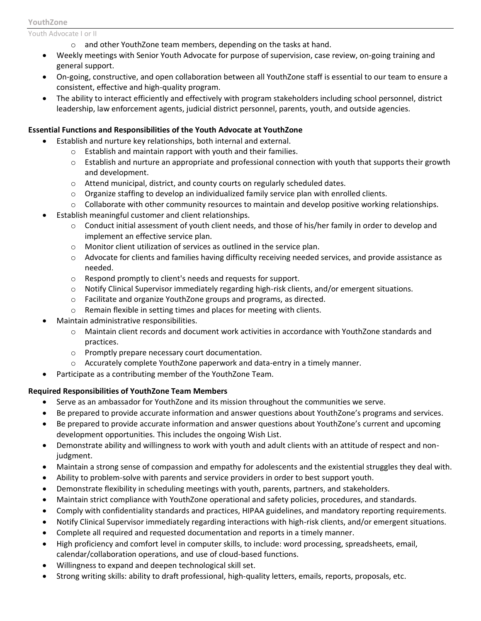#### **YouthZone**

Youth Advocate I or II

- o and other YouthZone team members, depending on the tasks at hand.
- Weekly meetings with Senior Youth Advocate for purpose of supervision, case review, on-going training and general support.
- On-going, constructive, and open collaboration between all YouthZone staff is essential to our team to ensure a consistent, effective and high-quality program.
- The ability to interact efficiently and effectively with program stakeholders including school personnel, district leadership, law enforcement agents, judicial district personnel, parents, youth, and outside agencies.

# **Essential Functions and Responsibilities of the Youth Advocate at YouthZone**

- Establish and nurture key relationships, both internal and external.
	- o Establish and maintain rapport with youth and their families.
	- $\circ$  Establish and nurture an appropriate and professional connection with youth that supports their growth and development.
	- $\circ$  Attend municipal, district, and county courts on regularly scheduled dates.
	- o Organize staffing to develop an individualized family service plan with enrolled clients.
	- $\circ$  Collaborate with other community resources to maintain and develop positive working relationships.
- Establish meaningful customer and client relationships.
	- $\circ$  Conduct initial assessment of youth client needs, and those of his/her family in order to develop and implement an effective service plan.
	- o Monitor client utilization of services as outlined in the service plan.
	- o Advocate for clients and families having difficulty receiving needed services, and provide assistance as needed.
	- o Respond promptly to client's needs and requests for support.
	- o Notify Clinical Supervisor immediately regarding high-risk clients, and/or emergent situations.
	- $\circ$  Facilitate and organize YouthZone groups and programs, as directed.
	- o Remain flexible in setting times and places for meeting with clients.
- Maintain administrative responsibilities.
	- $\circ$  Maintain client records and document work activities in accordance with YouthZone standards and practices.
	- o Promptly prepare necessary court documentation.
	- $\circ$  Accurately complete YouthZone paperwork and data-entry in a timely manner.
- Participate as a contributing member of the YouthZone Team.

# **Required Responsibilities of YouthZone Team Members**

- Serve as an ambassador for YouthZone and its mission throughout the communities we serve.
- Be prepared to provide accurate information and answer questions about YouthZone's programs and services.
- Be prepared to provide accurate information and answer questions about YouthZone's current and upcoming development opportunities. This includes the ongoing Wish List.
- Demonstrate ability and willingness to work with youth and adult clients with an attitude of respect and nonjudgment.
- Maintain a strong sense of compassion and empathy for adolescents and the existential struggles they deal with.
- Ability to problem-solve with parents and service providers in order to best support youth.
- Demonstrate flexibility in scheduling meetings with youth, parents, partners, and stakeholders.
- Maintain strict compliance with YouthZone operational and safety policies, procedures, and standards.
- Comply with confidentiality standards and practices, HIPAA guidelines, and mandatory reporting requirements.
- Notify Clinical Supervisor immediately regarding interactions with high-risk clients, and/or emergent situations.
- Complete all required and requested documentation and reports in a timely manner.
- High proficiency and comfort level in computer skills, to include: word processing, spreadsheets, email, calendar/collaboration operations, and use of cloud-based functions.
- Willingness to expand and deepen technological skill set.
- Strong writing skills: ability to draft professional, high-quality letters, emails, reports, proposals, etc.